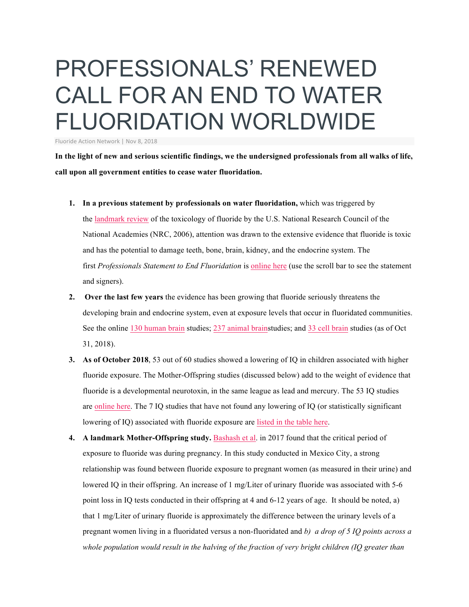## PROFESSIONALS' RENEWED CALL FOR AN END TO WATER FLUORIDATION WORLDWIDE

Fluoride Action Network | Nov 8, 2018

In the light of new and serious scientific findings, we the undersigned professionals from all walks of life, **call upon all government entities to cease water fluoridation.**

- **1. In a previous statement by professionals on water fluoridation,** which was triggered by the landmark review of the toxicology of fluoride by the U.S. National Research Council of the National Academies (NRC, 2006), attention was drawn to the extensive evidence that fluoride is toxic and has the potential to damage teeth, bone, brain, kidney, and the endocrine system. The first *Professionals Statement to End Fluoridation* is online here (use the scroll bar to see the statement and signers).
- **2. Over the last few years** the evidence has been growing that fluoride seriously threatens the developing brain and endocrine system, even at exposure levels that occur in fluoridated communities. See the online 130 human brain studies; 237 animal brainstudies; and 33 cell brain studies (as of Oct 31, 2018).
- **3. As of October 2018**, 53 out of 60 studies showed a lowering of IQ in children associated with higher fluoride exposure. The Mother-Offspring studies (discussed below) add to the weight of evidence that fluoride is a developmental neurotoxin, in the same league as lead and mercury. The 53 IQ studies are online here. The 7 IQ studies that have not found any lowering of IQ (or statistically significant lowering of IQ) associated with fluoride exposure are listed in the table here.
- **4. A landmark Mother-Offspring study.** Bashash et al. in 2017 found that the critical period of exposure to fluoride was during pregnancy. In this study conducted in Mexico City, a strong relationship was found between fluoride exposure to pregnant women (as measured in their urine) and lowered IQ in their offspring. An increase of 1 mg/Liter of urinary fluoride was associated with 5-6 point loss in IQ tests conducted in their offspring at 4 and 6-12 years of age. It should be noted, a) that 1 mg/Liter of urinary fluoride is approximately the difference between the urinary levels of a pregnant women living in a fluoridated versus a non-fluoridated and *b) a drop of 5 IQ points across a whole population would result in the halving of the fraction of very bright children (IQ greater than*